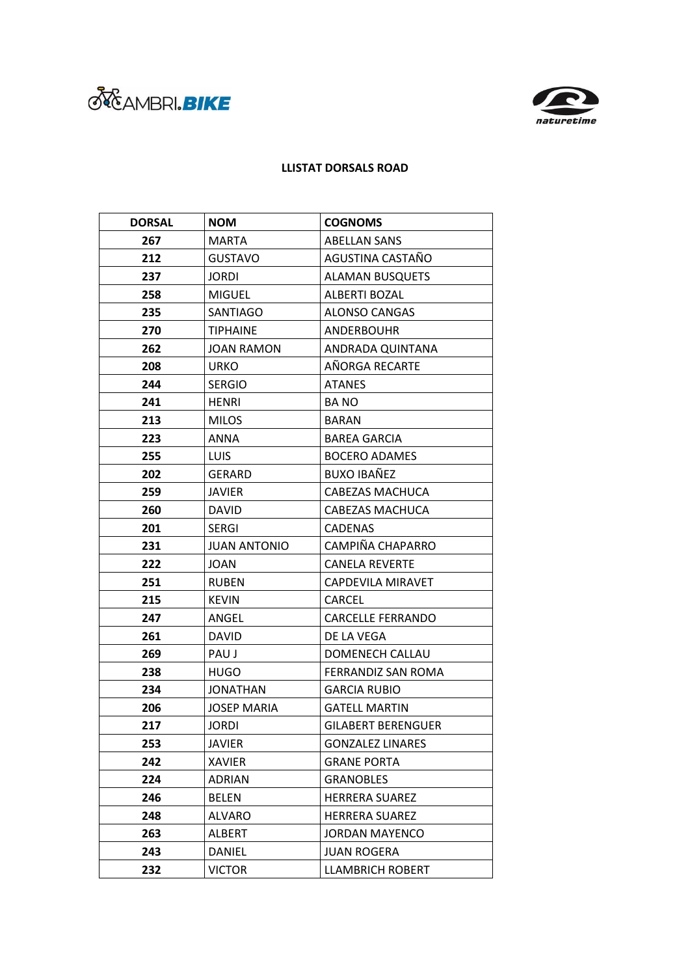



## **LLISTAT DORSALS ROAD**

| <b>DORSAL</b> | <b>NOM</b>          | <b>COGNOMS</b>            |
|---------------|---------------------|---------------------------|
| 267           | <b>MARTA</b>        | <b>ABELLAN SANS</b>       |
| 212           | <b>GUSTAVO</b>      | AGUSTINA CASTAÑO          |
| 237           | <b>JORDI</b>        | <b>ALAMAN BUSQUETS</b>    |
| 258           | <b>MIGUEL</b>       | ALBERTI BOZAL             |
| 235           | SANTIAGO            | <b>ALONSO CANGAS</b>      |
| 270           | <b>TIPHAINE</b>     | <b>ANDERBOUHR</b>         |
| 262           | <b>JOAN RAMON</b>   | ANDRADA QUINTANA          |
| 208           | URKO                | AÑORGA RECARTE            |
| 244           | <b>SERGIO</b>       | <b>ATANES</b>             |
| 241           | HENRI               | <b>BANO</b>               |
| 213           | <b>MILOS</b>        | <b>BARAN</b>              |
| 223           | <b>ANNA</b>         | <b>BAREA GARCIA</b>       |
| 255           | <b>LUIS</b>         | <b>BOCERO ADAMES</b>      |
| 202           | <b>GERARD</b>       | <b>BUXO IBAÑEZ</b>        |
| 259           | <b>JAVIER</b>       | CABEZAS MACHUCA           |
| 260           | DAVID               | CABEZAS MACHUCA           |
| 201           | <b>SERGI</b>        | <b>CADENAS</b>            |
| 231           | <b>JUAN ANTONIO</b> | CAMPIÑA CHAPARRO          |
| 222           | JOAN                | <b>CANELA REVERTE</b>     |
| 251           | <b>RUBEN</b>        | CAPDEVILA MIRAVET         |
| 215           | <b>KEVIN</b>        | CARCEL                    |
| 247           | ANGEL               | CARCELLE FERRANDO         |
| 261           | <b>DAVID</b>        | DE LA VEGA                |
| 269           | PAU J               | DOMENECH CALLAU           |
| 238           | HUGO                | FERRANDIZ SAN ROMA        |
| 234           | <b>JONATHAN</b>     | <b>GARCIA RUBIO</b>       |
| 206           | <b>JOSEP MARIA</b>  | <b>GATELL MARTIN</b>      |
| 217           | <b>JORDI</b>        | <b>GILABERT BERENGUER</b> |
| 253           | <b>JAVIER</b>       | <b>GONZALEZ LINARES</b>   |
| 242           | XAVIER              | <b>GRANE PORTA</b>        |
| 224           | ADRIAN              | <b>GRANOBLES</b>          |
| 246           | <b>BELEN</b>        | <b>HERRERA SUAREZ</b>     |
| 248           | ALVARO              | <b>HERRERA SUAREZ</b>     |
| 263           | <b>ALBERT</b>       | <b>JORDAN MAYENCO</b>     |
| 243           | DANIEL              | <b>JUAN ROGERA</b>        |
| 232           | <b>VICTOR</b>       | <b>LLAMBRICH ROBERT</b>   |